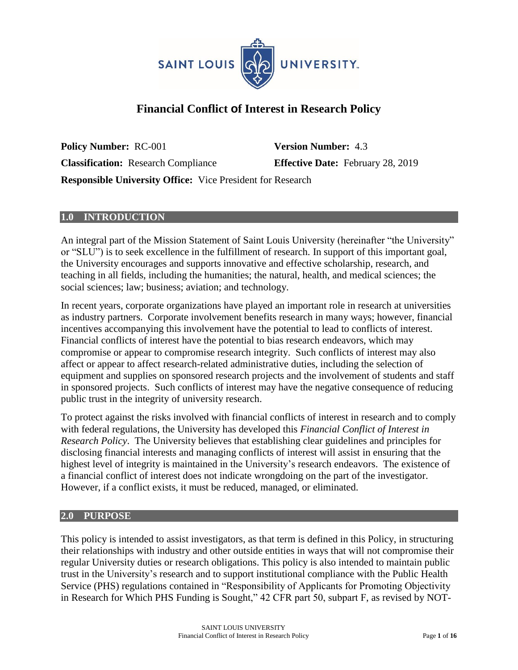

# **Financial Conflict of Interest in Research Policy**

**Policy Number:** RC-001 **Version Number:** 4.3 **Classification:** Research Compliance **Effective Date:** February 28, 2019 **Responsible University Office:** Vice President for Research

### **1.0 INTRODUCTION**

An integral part of the Mission Statement of Saint Louis University (hereinafter "the University" or "SLU") is to seek excellence in the fulfillment of research. In support of this important goal, the University encourages and supports innovative and effective scholarship, research, and teaching in all fields, including the humanities; the natural, health, and medical sciences; the social sciences; law; business; aviation; and technology.

In recent years, corporate organizations have played an important role in research at universities as industry partners. Corporate involvement benefits research in many ways; however, financial incentives accompanying this involvement have the potential to lead to conflicts of interest. Financial conflicts of interest have the potential to bias research endeavors, which may compromise or appear to compromise research integrity. Such conflicts of interest may also affect or appear to affect research-related administrative duties, including the selection of equipment and supplies on sponsored research projects and the involvement of students and staff in sponsored projects. Such conflicts of interest may have the negative consequence of reducing public trust in the integrity of university research.

To protect against the risks involved with financial conflicts of interest in research and to comply with federal regulations, the University has developed this *Financial Conflict of Interest in Research Policy*. The University believes that establishing clear guidelines and principles for disclosing financial interests and managing conflicts of interest will assist in ensuring that the highest level of integrity is maintained in the University's research endeavors. The existence of a financial conflict of interest does not indicate wrongdoing on the part of the investigator. However, if a conflict exists, it must be reduced, managed, or eliminated.

#### **2.0 PURPOSE**

This policy is intended to assist investigators, as that term is defined in this Policy, in structuring their relationships with industry and other outside entities in ways that will not compromise their regular University duties or research obligations. This policy is also intended to maintain public trust in the University's research and to support institutional compliance with the Public Health Service (PHS) regulations contained in "Responsibility of Applicants for Promoting Objectivity in Research for Which PHS Funding is Sought," 42 CFR part 50, subpart F, as revised by NOT-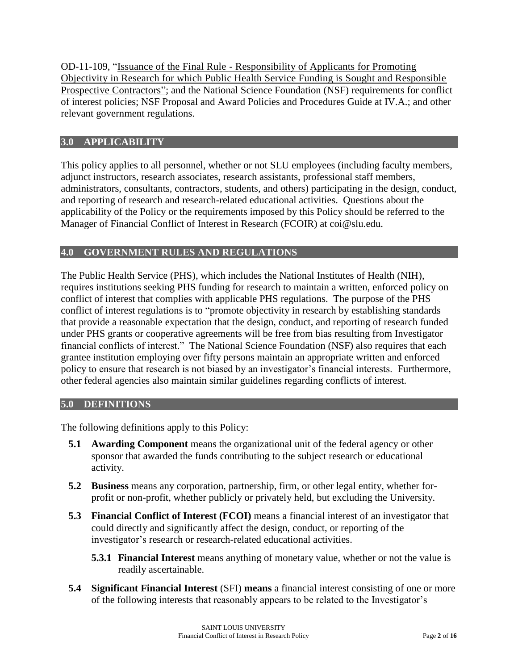OD-11-109, "Issuance of the Final Rule - Responsibility of Applicants for Promoting Objectivity in Research for which Public Health Service Funding is Sought and Responsible Prospective Contractors"; and the National Science Foundation (NSF) requirements for conflict of interest policies; NSF Proposal and Award Policies and Procedures Guide at IV.A.; and other relevant government regulations.

# **3.0 APPLICABILITY**

This policy applies to all personnel, whether or not SLU employees (including faculty members, adjunct instructors, research associates, research assistants, professional staff members, administrators, consultants, contractors, students, and others) participating in the design, conduct, and reporting of research and research-related educational activities. Questions about the applicability of the Policy or the requirements imposed by this Policy should be referred to the Manager of Financial Conflict of Interest in Research (FCOIR) at coi@slu.edu.

# **4.0 GOVERNMENT RULES AND REGULATIONS**

The Public Health Service (PHS), which includes the National Institutes of Health (NIH), requires institutions seeking PHS funding for research to maintain a written, enforced policy on conflict of interest that complies with applicable PHS regulations. The purpose of the PHS conflict of interest regulations is to "promote objectivity in research by establishing standards that provide a reasonable expectation that the design, conduct, and reporting of research funded under PHS grants or cooperative agreements will be free from bias resulting from Investigator financial conflicts of interest." The National Science Foundation (NSF) also requires that each grantee institution employing over fifty persons maintain an appropriate written and enforced policy to ensure that research is not biased by an investigator's financial interests. Furthermore, other federal agencies also maintain similar guidelines regarding conflicts of interest.

### **5.0 DEFINITIONS**

The following definitions apply to this Policy:

- **5.1 Awarding Component** means the organizational unit of the federal agency or other sponsor that awarded the funds contributing to the subject research or educational activity.
- **5.2 Business** means any corporation, partnership, firm, or other legal entity, whether forprofit or non-profit, whether publicly or privately held, but excluding the University.
- **5.3 Financial Conflict of Interest (FCOI)** means a financial interest of an investigator that could directly and significantly affect the design, conduct, or reporting of the investigator's research or research-related educational activities.
	- **5.3.1 Financial Interest** means anything of monetary value, whether or not the value is readily ascertainable.
- **5.4 Significant Financial Interest** (SFI) **means** a financial interest consisting of one or more of the following interests that reasonably appears to be related to the Investigator's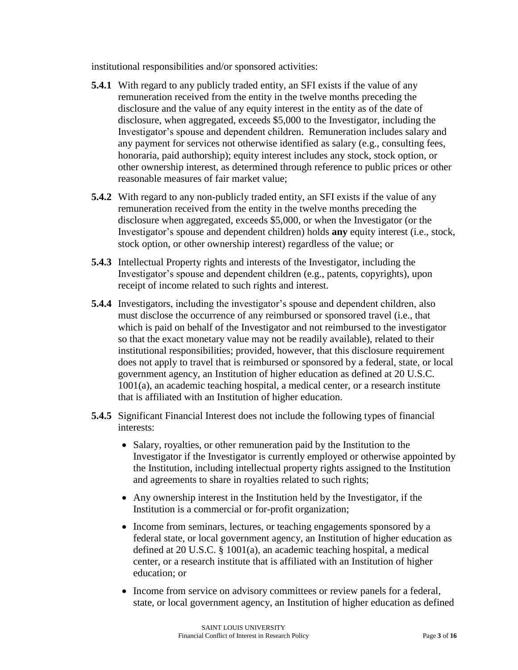institutional responsibilities and/or sponsored activities:

- **5.4.1** With regard to any publicly traded entity, an SFI exists if the value of any remuneration received from the entity in the twelve months preceding the disclosure and the value of any equity interest in the entity as of the date of disclosure, when aggregated, exceeds \$5,000 to the Investigator, including the Investigator's spouse and dependent children. Remuneration includes salary and any payment for services not otherwise identified as salary (e.g., consulting fees, honoraria, paid authorship); equity interest includes any stock, stock option, or other ownership interest, as determined through reference to public prices or other reasonable measures of fair market value;
- **5.4.2** With regard to any non-publicly traded entity, an SFI exists if the value of any remuneration received from the entity in the twelve months preceding the disclosure when aggregated, exceeds \$5,000, or when the Investigator (or the Investigator's spouse and dependent children) holds **any** equity interest (i.e., stock, stock option, or other ownership interest) regardless of the value; or
- **5.4.3** Intellectual Property rights and interests of the Investigator, including the Investigator's spouse and dependent children (e.g., patents, copyrights), upon receipt of income related to such rights and interest.
- **5.4.4** Investigators, including the investigator's spouse and dependent children, also must disclose the occurrence of any reimbursed or sponsored travel (i.e., that which is paid on behalf of the Investigator and not reimbursed to the investigator so that the exact monetary value may not be readily available), related to their institutional responsibilities; provided, however, that this disclosure requirement does not apply to travel that is reimbursed or sponsored by a federal, state, or local government agency, an Institution of higher education as defined at 20 U.S.C. 1001(a), an academic teaching hospital, a medical center, or a research institute that is affiliated with an Institution of higher education.
- **5.4.5** Significant Financial Interest does not include the following types of financial interests:
	- Salary, royalties, or other remuneration paid by the Institution to the Investigator if the Investigator is currently employed or otherwise appointed by the Institution, including intellectual property rights assigned to the Institution and agreements to share in royalties related to such rights;
	- Any ownership interest in the Institution held by the Investigator, if the Institution is a commercial or for-profit organization;
	- Income from seminars, lectures, or teaching engagements sponsored by a federal state, or local government agency, an Institution of higher education as defined at 20 U.S.C. § 1001(a), an academic teaching hospital, a medical center, or a research institute that is affiliated with an Institution of higher education; or
	- Income from service on advisory committees or review panels for a federal, state, or local government agency, an Institution of higher education as defined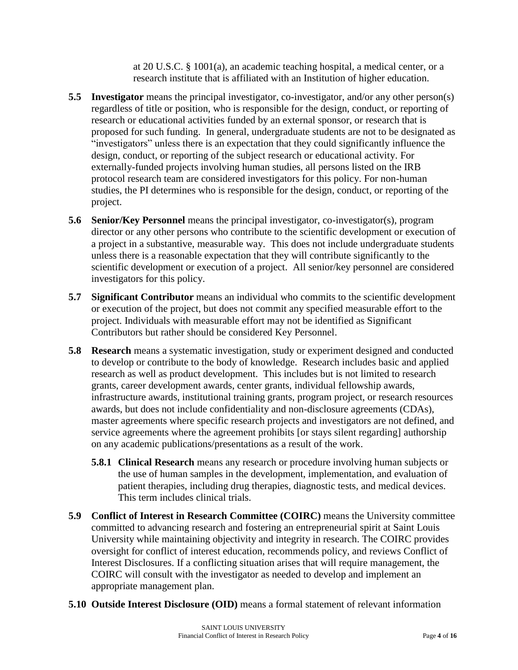at 20 U.S.C. § 1001(a), an academic teaching hospital, a medical center, or a research institute that is affiliated with an Institution of higher education.

- **5.5 Investigator** means the principal investigator, co-investigator, and/or any other person(s) regardless of title or position, who is responsible for the design, conduct, or reporting of research or educational activities funded by an external sponsor, or research that is proposed for such funding. In general, undergraduate students are not to be designated as "investigators" unless there is an expectation that they could significantly influence the design, conduct, or reporting of the subject research or educational activity. For externally-funded projects involving human studies, all persons listed on the IRB protocol research team are considered investigators for this policy. For non-human studies, the PI determines who is responsible for the design, conduct, or reporting of the project.
- **5.6 Senior/Key Personnel** means the principal investigator, co-investigator(s), program director or any other persons who contribute to the scientific development or execution of a project in a substantive, measurable way. This does not include undergraduate students unless there is a reasonable expectation that they will contribute significantly to the scientific development or execution of a project. All senior/key personnel are considered investigators for this policy.
- **5.7 Significant Contributor** means an individual who commits to the scientific development or execution of the project, but does not commit any specified measurable effort to the project. Individuals with measurable effort may not be identified as Significant Contributors but rather should be considered Key Personnel.
- **5.8 Research** means a systematic investigation, study or experiment designed and conducted to develop or contribute to the body of knowledge. Research includes basic and applied research as well as product development. This includes but is not limited to research grants, career development awards, center grants, individual fellowship awards, infrastructure awards, institutional training grants, program project, or research resources awards, but does not include confidentiality and non-disclosure agreements (CDAs), master agreements where specific research projects and investigators are not defined, and service agreements where the agreement prohibits [or stays silent regarding] authorship on any academic publications/presentations as a result of the work.
	- **5.8.1 Clinical Research** means any research or procedure involving human subjects or the use of human samples in the development, implementation, and evaluation of patient therapies, including drug therapies, diagnostic tests, and medical devices. This term includes clinical trials.
- **5.9 Conflict of Interest in Research Committee (COIRC)** means the University committee committed to advancing research and fostering an entrepreneurial spirit at Saint Louis University while maintaining objectivity and integrity in research. The COIRC provides oversight for conflict of interest education, recommends policy, and reviews Conflict of Interest Disclosures. If a conflicting situation arises that will require management, the COIRC will consult with the investigator as needed to develop and implement an appropriate management plan.
- **5.10 Outside Interest Disclosure (OID)** means a formal statement of relevant information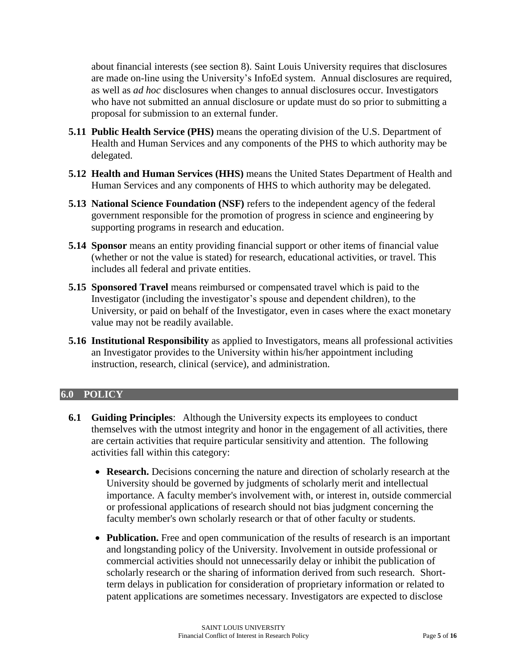about financial interests (see section 8). Saint Louis University requires that disclosures are made on-line using the University's InfoEd system. Annual disclosures are required, as well as *ad hoc* disclosures when changes to annual disclosures occur. Investigators who have not submitted an annual disclosure or update must do so prior to submitting a proposal for submission to an external funder.

- **5.11 Public Health Service (PHS)** means the operating division of the U.S. Department of Health and Human Services and any components of the PHS to which authority may be delegated.
- **5.12 Health and Human Services (HHS)** means the United States Department of Health and Human Services and any components of HHS to which authority may be delegated.
- **5.13 National Science Foundation (NSF)** refers to the independent agency of the federal government responsible for the promotion of progress in science and engineering by supporting programs in research and education.
- **5.14 Sponsor** means an entity providing financial support or other items of financial value (whether or not the value is stated) for research, educational activities, or travel. This includes all federal and private entities.
- **5.15 Sponsored Travel** means reimbursed or compensated travel which is paid to the Investigator (including the investigator's spouse and dependent children), to the University, or paid on behalf of the Investigator, even in cases where the exact monetary value may not be readily available.
- **5.16 Institutional Responsibility** as applied to Investigators, means all professional activities an Investigator provides to the University within his/her appointment including instruction, research, clinical (service), and administration.

### **6.0 POLICY**

- **6.1 Guiding Principles**: Although the University expects its employees to conduct themselves with the utmost integrity and honor in the engagement of all activities, there are certain activities that require particular sensitivity and attention. The following activities fall within this category:
	- **Research.** Decisions concerning the nature and direction of scholarly research at the University should be governed by judgments of scholarly merit and intellectual importance. A faculty member's involvement with, or interest in, outside commercial or professional applications of research should not bias judgment concerning the faculty member's own scholarly research or that of other faculty or students.
	- **Publication.** Free and open communication of the results of research is an important and longstanding policy of the University. Involvement in outside professional or commercial activities should not unnecessarily delay or inhibit the publication of scholarly research or the sharing of information derived from such research. Shortterm delays in publication for consideration of proprietary information or related to patent applications are sometimes necessary. Investigators are expected to disclose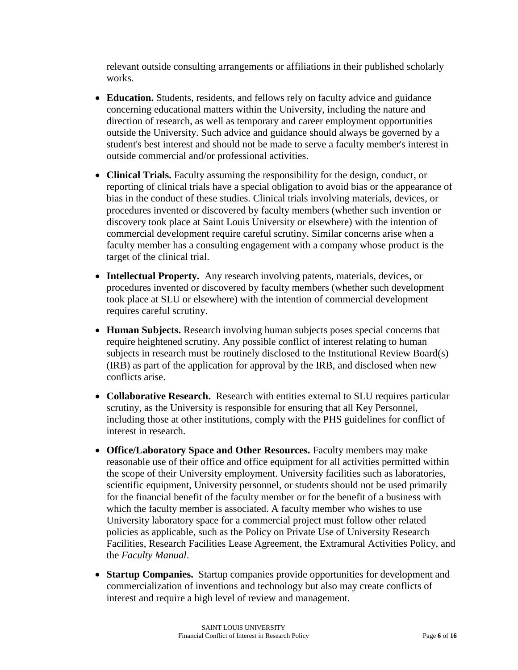relevant outside consulting arrangements or affiliations in their published scholarly works.

- **Education.** Students, residents, and fellows rely on faculty advice and guidance concerning educational matters within the University, including the nature and direction of research, as well as temporary and career employment opportunities outside the University. Such advice and guidance should always be governed by a student's best interest and should not be made to serve a faculty member's interest in outside commercial and/or professional activities.
- **Clinical Trials.** Faculty assuming the responsibility for the design, conduct, or reporting of clinical trials have a special obligation to avoid bias or the appearance of bias in the conduct of these studies. Clinical trials involving materials, devices, or procedures invented or discovered by faculty members (whether such invention or discovery took place at Saint Louis University or elsewhere) with the intention of commercial development require careful scrutiny. Similar concerns arise when a faculty member has a consulting engagement with a company whose product is the target of the clinical trial.
- **Intellectual Property.** Any research involving patents, materials, devices, or procedures invented or discovered by faculty members (whether such development took place at SLU or elsewhere) with the intention of commercial development requires careful scrutiny.
- **Human Subjects.** Research involving human subjects poses special concerns that require heightened scrutiny. Any possible conflict of interest relating to human subjects in research must be routinely disclosed to the Institutional Review Board(s) (IRB) as part of the application for approval by the IRB, and disclosed when new conflicts arise.
- **Collaborative Research.** Research with entities external to SLU requires particular scrutiny, as the University is responsible for ensuring that all Key Personnel, including those at other institutions, comply with the PHS guidelines for conflict of interest in research.
- **Office/Laboratory Space and Other Resources.** Faculty members may make reasonable use of their office and office equipment for all activities permitted within the scope of their University employment. University facilities such as laboratories, scientific equipment, University personnel, or students should not be used primarily for the financial benefit of the faculty member or for the benefit of a business with which the faculty member is associated. A faculty member who wishes to use University laboratory space for a commercial project must follow other related policies as applicable, such as the Policy on Private Use of University Research Facilities, Research Facilities Lease Agreement, the Extramural Activities Policy, and the *Faculty Manual*.
- **Startup Companies.** Startup companies provide opportunities for development and commercialization of inventions and technology but also may create conflicts of interest and require a high level of review and management.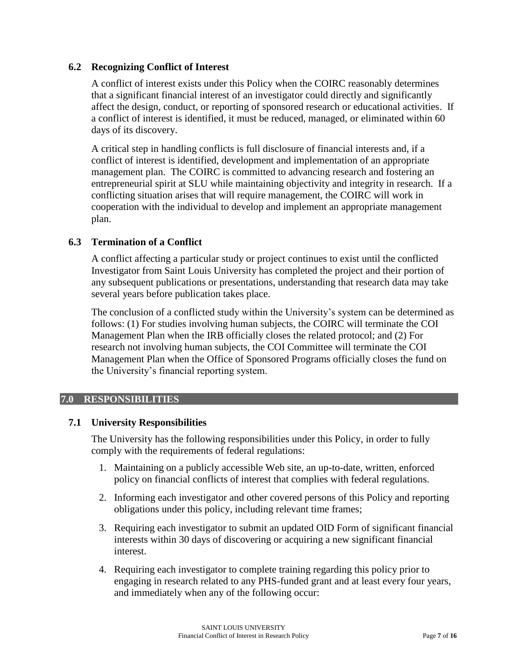# **6.2 Recognizing Conflict of Interest**

A conflict of interest exists under this Policy when the COIRC reasonably determines that a significant financial interest of an investigator could directly and significantly affect the design, conduct, or reporting of sponsored research or educational activities. If a conflict of interest is identified, it must be reduced, managed, or eliminated within 60 days of its discovery.

A critical step in handling conflicts is full disclosure of financial interests and, if a conflict of interest is identified, development and implementation of an appropriate management plan. The COIRC is committed to advancing research and fostering an entrepreneurial spirit at SLU while maintaining objectivity and integrity in research. If a conflicting situation arises that will require management, the COIRC will work in cooperation with the individual to develop and implement an appropriate management plan.

# **6.3 Termination of a Conflict**

A conflict affecting a particular study or project continues to exist until the conflicted Investigator from Saint Louis University has completed the project and their portion of any subsequent publications or presentations, understanding that research data may take several years before publication takes place.

The conclusion of a conflicted study within the University's system can be determined as follows: (1) For studies involving human subjects, the COIRC will terminate the COI Management Plan when the IRB officially closes the related protocol; and (2) For research not involving human subjects, the COI Committee will terminate the COI Management Plan when the Office of Sponsored Programs officially closes the fund on the University's financial reporting system.

### **7.0 RESPONSIBILITIES**

### **7.1 University Responsibilities**

The University has the following responsibilities under this Policy, in order to fully comply with the requirements of federal regulations:

- 1. Maintaining on a publicly accessible Web site, an up-to-date, written, enforced policy on financial conflicts of interest that complies with federal regulations.
- 2. Informing each investigator and other covered persons of this Policy and reporting obligations under this policy, including relevant time frames;
- 3. Requiring each investigator to submit an updated OID Form of significant financial interests within 30 days of discovering or acquiring a new significant financial interest.
- 4. Requiring each investigator to complete training regarding this policy prior to engaging in research related to any PHS-funded grant and at least every four years, and immediately when any of the following occur: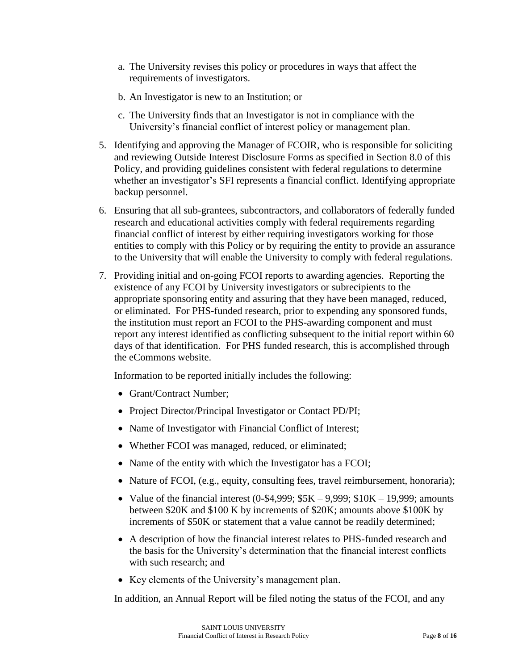- a. The University revises this policy or procedures in ways that affect the requirements of investigators.
- b. An Investigator is new to an Institution; or
- c. The University finds that an Investigator is not in compliance with the University's financial conflict of interest policy or management plan.
- 5. Identifying and approving the Manager of FCOIR, who is responsible for soliciting and reviewing Outside Interest Disclosure Forms as specified in Section 8.0 of this Policy, and providing guidelines consistent with federal regulations to determine whether an investigator's SFI represents a financial conflict. Identifying appropriate backup personnel.
- 6. Ensuring that all sub-grantees, subcontractors, and collaborators of federally funded research and educational activities comply with federal requirements regarding financial conflict of interest by either requiring investigators working for those entities to comply with this Policy or by requiring the entity to provide an assurance to the University that will enable the University to comply with federal regulations.
- 7. Providing initial and on-going FCOI reports to awarding agencies. Reporting the existence of any FCOI by University investigators or subrecipients to the appropriate sponsoring entity and assuring that they have been managed, reduced, or eliminated. For PHS-funded research, prior to expending any sponsored funds, the institution must report an FCOI to the PHS-awarding component and must report any interest identified as conflicting subsequent to the initial report within 60 days of that identification. For PHS funded research, this is accomplished through the eCommons website.

Information to be reported initially includes the following:

- Grant/Contract Number;
- Project Director/Principal Investigator or Contact PD/PI;
- Name of Investigator with Financial Conflict of Interest;
- Whether FCOI was managed, reduced, or eliminated;
- Name of the entity with which the Investigator has a FCOI;
- Nature of FCOI, (e.g., equity, consulting fees, travel reimbursement, honoraria);
- Value of the financial interest  $(0-1, 999; 55K 9, 999; 10K 19, 999;$  amounts between \$20K and \$100 K by increments of \$20K; amounts above \$100K by increments of \$50K or statement that a value cannot be readily determined;
- A description of how the financial interest relates to PHS-funded research and the basis for the University's determination that the financial interest conflicts with such research; and
- Key elements of the University's management plan.

In addition, an Annual Report will be filed noting the status of the FCOI, and any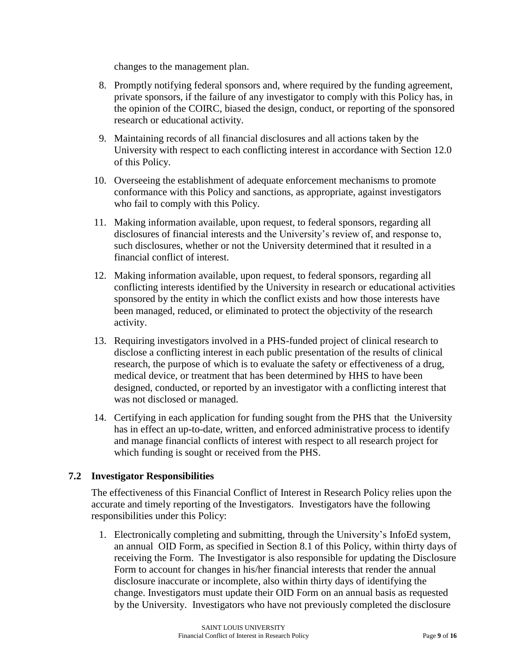changes to the management plan.

- 8. Promptly notifying federal sponsors and, where required by the funding agreement, private sponsors, if the failure of any investigator to comply with this Policy has, in the opinion of the COIRC, biased the design, conduct, or reporting of the sponsored research or educational activity.
- 9. Maintaining records of all financial disclosures and all actions taken by the University with respect to each conflicting interest in accordance with Section 12.0 of this Policy.
- 10. Overseeing the establishment of adequate enforcement mechanisms to promote conformance with this Policy and sanctions, as appropriate, against investigators who fail to comply with this Policy.
- 11. Making information available, upon request, to federal sponsors, regarding all disclosures of financial interests and the University's review of, and response to, such disclosures, whether or not the University determined that it resulted in a financial conflict of interest.
- 12. Making information available, upon request, to federal sponsors, regarding all conflicting interests identified by the University in research or educational activities sponsored by the entity in which the conflict exists and how those interests have been managed, reduced, or eliminated to protect the objectivity of the research activity.
- 13. Requiring investigators involved in a PHS-funded project of clinical research to disclose a conflicting interest in each public presentation of the results of clinical research, the purpose of which is to evaluate the safety or effectiveness of a drug, medical device, or treatment that has been determined by HHS to have been designed, conducted, or reported by an investigator with a conflicting interest that was not disclosed or managed.
- 14. Certifying in each application for funding sought from the PHS that the University has in effect an up-to-date, written, and enforced administrative process to identify and manage financial conflicts of interest with respect to all research project for which funding is sought or received from the PHS.

# **7.2 Investigator Responsibilities**

The effectiveness of this Financial Conflict of Interest in Research Policy relies upon the accurate and timely reporting of the Investigators. Investigators have the following responsibilities under this Policy:

1. Electronically completing and submitting, through the University's InfoEd system, an annual OID Form, as specified in Section 8.1 of this Policy, within thirty days of receiving the Form. The Investigator is also responsible for updating the Disclosure Form to account for changes in his/her financial interests that render the annual disclosure inaccurate or incomplete, also within thirty days of identifying the change. Investigators must update their OID Form on an annual basis as requested by the University. Investigators who have not previously completed the disclosure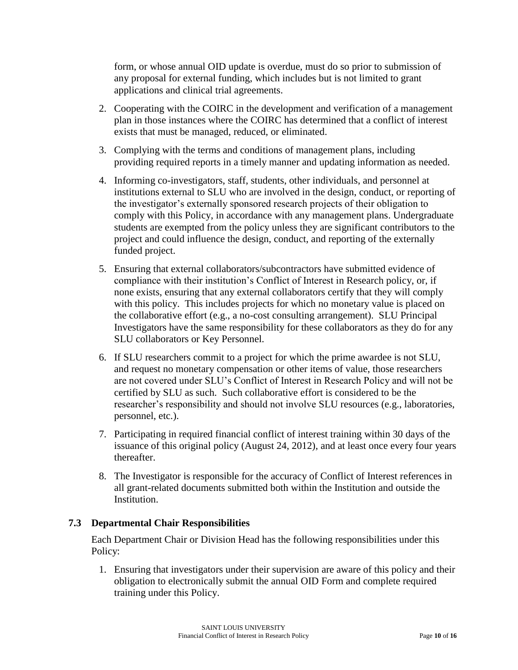form, or whose annual OID update is overdue, must do so prior to submission of any proposal for external funding, which includes but is not limited to grant applications and clinical trial agreements.

- 2. Cooperating with the COIRC in the development and verification of a management plan in those instances where the COIRC has determined that a conflict of interest exists that must be managed, reduced, or eliminated.
- 3. Complying with the terms and conditions of management plans, including providing required reports in a timely manner and updating information as needed.
- 4. Informing co-investigators, staff, students, other individuals, and personnel at institutions external to SLU who are involved in the design, conduct, or reporting of the investigator's externally sponsored research projects of their obligation to comply with this Policy, in accordance with any management plans. Undergraduate students are exempted from the policy unless they are significant contributors to the project and could influence the design, conduct, and reporting of the externally funded project.
- 5. Ensuring that external collaborators/subcontractors have submitted evidence of compliance with their institution's Conflict of Interest in Research policy, or, if none exists, ensuring that any external collaborators certify that they will comply with this policy. This includes projects for which no monetary value is placed on the collaborative effort (e.g., a no-cost consulting arrangement). SLU Principal Investigators have the same responsibility for these collaborators as they do for any SLU collaborators or Key Personnel.
- 6. If SLU researchers commit to a project for which the prime awardee is not SLU, and request no monetary compensation or other items of value, those researchers are not covered under SLU's Conflict of Interest in Research Policy and will not be certified by SLU as such. Such collaborative effort is considered to be the researcher's responsibility and should not involve SLU resources (e.g., laboratories, personnel, etc.).
- 7. Participating in required financial conflict of interest training within 30 days of the issuance of this original policy (August 24, 2012), and at least once every four years thereafter.
- 8. The Investigator is responsible for the accuracy of Conflict of Interest references in all grant-related documents submitted both within the Institution and outside the Institution.

# **7.3 Departmental Chair Responsibilities**

Each Department Chair or Division Head has the following responsibilities under this Policy:

1. Ensuring that investigators under their supervision are aware of this policy and their obligation to electronically submit the annual OID Form and complete required training under this Policy.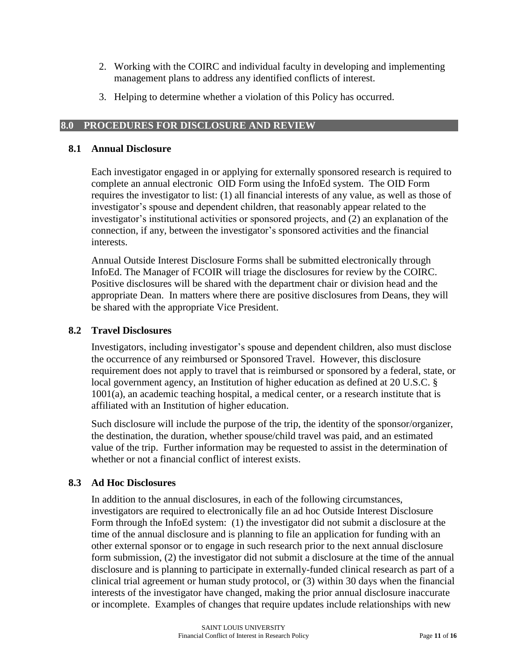- 2. Working with the COIRC and individual faculty in developing and implementing management plans to address any identified conflicts of interest.
- 3. Helping to determine whether a violation of this Policy has occurred.

# **8.0 PROCEDURES FOR DISCLOSURE AND REVIEW**

# **8.1 Annual Disclosure**

Each investigator engaged in or applying for externally sponsored research is required to complete an annual electronic OID Form using the InfoEd system. The OID Form requires the investigator to list: (1) all financial interests of any value, as well as those of investigator's spouse and dependent children, that reasonably appear related to the investigator's institutional activities or sponsored projects, and (2) an explanation of the connection, if any, between the investigator's sponsored activities and the financial interests.

Annual Outside Interest Disclosure Forms shall be submitted electronically through InfoEd. The Manager of FCOIR will triage the disclosures for review by the COIRC. Positive disclosures will be shared with the department chair or division head and the appropriate Dean. In matters where there are positive disclosures from Deans, they will be shared with the appropriate Vice President.

# **8.2 Travel Disclosures**

Investigators, including investigator's spouse and dependent children, also must disclose the occurrence of any reimbursed or Sponsored Travel. However, this disclosure requirement does not apply to travel that is reimbursed or sponsored by a federal, state, or local government agency, an Institution of higher education as defined at 20 U.S.C. § 1001(a), an academic teaching hospital, a medical center, or a research institute that is affiliated with an Institution of higher education.

Such disclosure will include the purpose of the trip, the identity of the sponsor/organizer, the destination, the duration, whether spouse/child travel was paid, and an estimated value of the trip. Further information may be requested to assist in the determination of whether or not a financial conflict of interest exists.

# **8.3 Ad Hoc Disclosures**

In addition to the annual disclosures, in each of the following circumstances, investigators are required to electronically file an ad hoc Outside Interest Disclosure Form through the InfoEd system: (1) the investigator did not submit a disclosure at the time of the annual disclosure and is planning to file an application for funding with an other external sponsor or to engage in such research prior to the next annual disclosure form submission, (2) the investigator did not submit a disclosure at the time of the annual disclosure and is planning to participate in externally-funded clinical research as part of a clinical trial agreement or human study protocol, or (3) within 30 days when the financial interests of the investigator have changed, making the prior annual disclosure inaccurate or incomplete. Examples of changes that require updates include relationships with new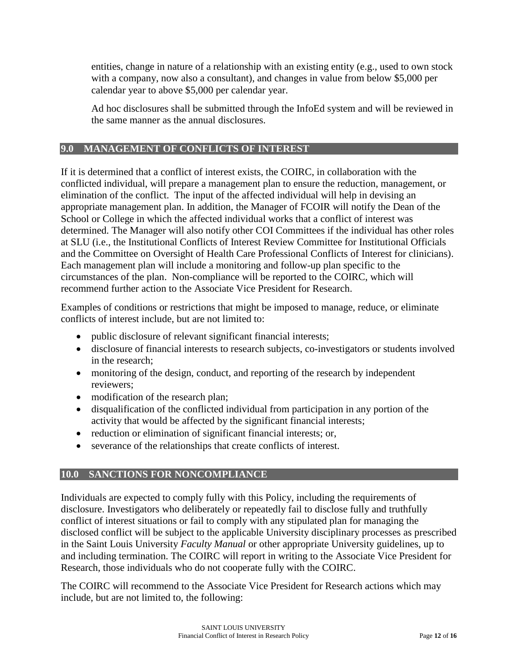entities, change in nature of a relationship with an existing entity (e.g., used to own stock with a company, now also a consultant), and changes in value from below \$5,000 per calendar year to above \$5,000 per calendar year.

Ad hoc disclosures shall be submitted through the InfoEd system and will be reviewed in the same manner as the annual disclosures.

# **9.0 MANAGEMENT OF CONFLICTS OF INTEREST**

If it is determined that a conflict of interest exists, the COIRC, in collaboration with the conflicted individual, will prepare a management plan to ensure the reduction, management, or elimination of the conflict. The input of the affected individual will help in devising an appropriate management plan. In addition, the Manager of FCOIR will notify the Dean of the School or College in which the affected individual works that a conflict of interest was determined. The Manager will also notify other COI Committees if the individual has other roles at SLU (i.e., the Institutional Conflicts of Interest Review Committee for Institutional Officials and the Committee on Oversight of Health Care Professional Conflicts of Interest for clinicians). Each management plan will include a monitoring and follow-up plan specific to the circumstances of the plan. Non-compliance will be reported to the COIRC, which will recommend further action to the Associate Vice President for Research.

Examples of conditions or restrictions that might be imposed to manage, reduce, or eliminate conflicts of interest include, but are not limited to:

- public disclosure of relevant significant financial interests;
- disclosure of financial interests to research subjects, co-investigators or students involved in the research;
- monitoring of the design, conduct, and reporting of the research by independent reviewers;
- modification of the research plan;
- disqualification of the conflicted individual from participation in any portion of the activity that would be affected by the significant financial interests;
- reduction or elimination of significant financial interests; or,
- severance of the relationships that create conflicts of interest.

# **10.0 SANCTIONS FOR NONCOMPLIANCE**

Individuals are expected to comply fully with this Policy, including the requirements of disclosure. Investigators who deliberately or repeatedly fail to disclose fully and truthfully conflict of interest situations or fail to comply with any stipulated plan for managing the disclosed conflict will be subject to the applicable University disciplinary processes as prescribed in the Saint Louis University *Faculty Manual* or other appropriate University guidelines, up to and including termination. The COIRC will report in writing to the Associate Vice President for Research, those individuals who do not cooperate fully with the COIRC.

The COIRC will recommend to the Associate Vice President for Research actions which may include, but are not limited to, the following: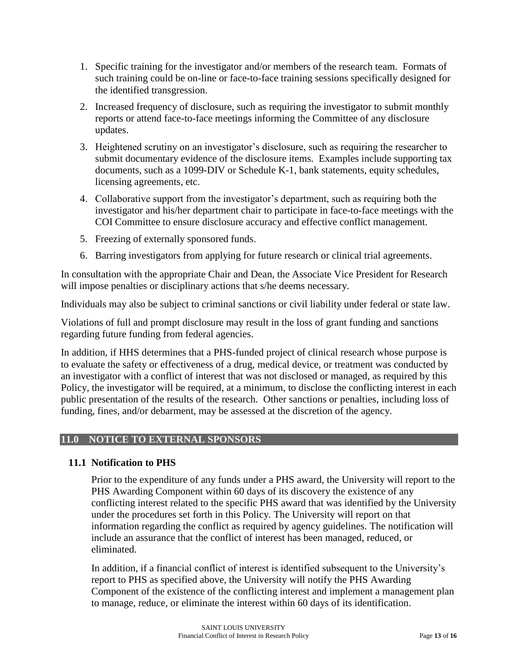- 1. Specific training for the investigator and/or members of the research team. Formats of such training could be on-line or face-to-face training sessions specifically designed for the identified transgression.
- 2. Increased frequency of disclosure, such as requiring the investigator to submit monthly reports or attend face-to-face meetings informing the Committee of any disclosure updates.
- 3. Heightened scrutiny on an investigator's disclosure, such as requiring the researcher to submit documentary evidence of the disclosure items. Examples include supporting tax documents, such as a 1099-DIV or Schedule K-1, bank statements, equity schedules, licensing agreements, etc.
- 4. Collaborative support from the investigator's department, such as requiring both the investigator and his/her department chair to participate in face-to-face meetings with the COI Committee to ensure disclosure accuracy and effective conflict management.
- 5. Freezing of externally sponsored funds.
- 6. Barring investigators from applying for future research or clinical trial agreements.

In consultation with the appropriate Chair and Dean, the Associate Vice President for Research will impose penalties or disciplinary actions that s/he deems necessary.

Individuals may also be subject to criminal sanctions or civil liability under federal or state law.

Violations of full and prompt disclosure may result in the loss of grant funding and sanctions regarding future funding from federal agencies.

In addition, if HHS determines that a PHS-funded project of clinical research whose purpose is to evaluate the safety or effectiveness of a drug, medical device, or treatment was conducted by an investigator with a conflict of interest that was not disclosed or managed, as required by this Policy, the investigator will be required, at a minimum, to disclose the conflicting interest in each public presentation of the results of the research. Other sanctions or penalties, including loss of funding, fines, and/or debarment, may be assessed at the discretion of the agency.

### **11.0 NOTICE TO EXTERNAL SPONSORS**

# **11.1 Notification to PHS**

Prior to the expenditure of any funds under a PHS award, the University will report to the PHS Awarding Component within 60 days of its discovery the existence of any conflicting interest related to the specific PHS award that was identified by the University under the procedures set forth in this Policy. The University will report on that information regarding the conflict as required by agency guidelines. The notification will include an assurance that the conflict of interest has been managed, reduced, or eliminated.

In addition, if a financial conflict of interest is identified subsequent to the University's report to PHS as specified above, the University will notify the PHS Awarding Component of the existence of the conflicting interest and implement a management plan to manage, reduce, or eliminate the interest within 60 days of its identification.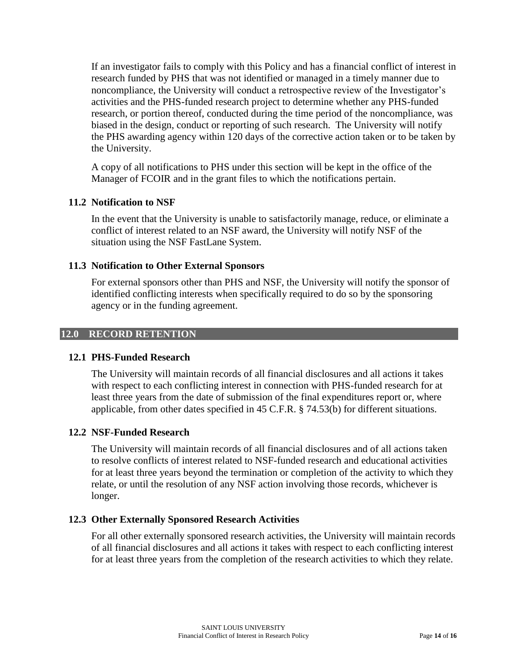If an investigator fails to comply with this Policy and has a financial conflict of interest in research funded by PHS that was not identified or managed in a timely manner due to noncompliance, the University will conduct a retrospective review of the Investigator's activities and the PHS-funded research project to determine whether any PHS-funded research, or portion thereof, conducted during the time period of the noncompliance, was biased in the design, conduct or reporting of such research. The University will notify the PHS awarding agency within 120 days of the corrective action taken or to be taken by the University.

A copy of all notifications to PHS under this section will be kept in the office of the Manager of FCOIR and in the grant files to which the notifications pertain.

# **11.2 Notification to NSF**

In the event that the University is unable to satisfactorily manage, reduce, or eliminate a conflict of interest related to an NSF award, the University will notify NSF of the situation using the NSF FastLane System.

# **11.3 Notification to Other External Sponsors**

For external sponsors other than PHS and NSF, the University will notify the sponsor of identified conflicting interests when specifically required to do so by the sponsoring agency or in the funding agreement.

### **12.0 RECORD RETENTION**

### **12.1 PHS-Funded Research**

The University will maintain records of all financial disclosures and all actions it takes with respect to each conflicting interest in connection with PHS-funded research for at least three years from the date of submission of the final expenditures report or, where applicable, from other dates specified in 45 C.F.R. § 74.53(b) for different situations.

### **12.2 NSF-Funded Research**

The University will maintain records of all financial disclosures and of all actions taken to resolve conflicts of interest related to NSF-funded research and educational activities for at least three years beyond the termination or completion of the activity to which they relate, or until the resolution of any NSF action involving those records, whichever is longer.

### **12.3 Other Externally Sponsored Research Activities**

For all other externally sponsored research activities, the University will maintain records of all financial disclosures and all actions it takes with respect to each conflicting interest for at least three years from the completion of the research activities to which they relate.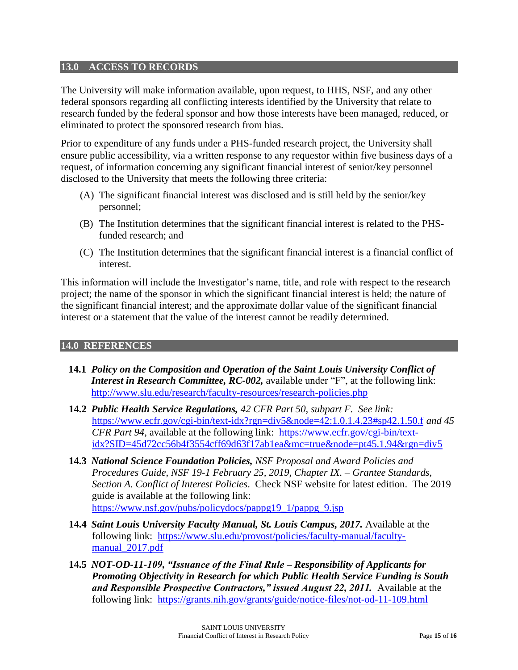### **13.0 ACCESS TO RECORDS**

The University will make information available, upon request, to HHS, NSF, and any other federal sponsors regarding all conflicting interests identified by the University that relate to research funded by the federal sponsor and how those interests have been managed, reduced, or eliminated to protect the sponsored research from bias.

Prior to expenditure of any funds under a PHS-funded research project, the University shall ensure public accessibility, via a written response to any requestor within five business days of a request, of information concerning any significant financial interest of senior/key personnel disclosed to the University that meets the following three criteria:

- (A) The significant financial interest was disclosed and is still held by the senior/key personnel;
- (B) The Institution determines that the significant financial interest is related to the PHSfunded research; and
- (C) The Institution determines that the significant financial interest is a financial conflict of interest.

This information will include the Investigator's name, title, and role with respect to the research project; the name of the sponsor in which the significant financial interest is held; the nature of the significant financial interest; and the approximate dollar value of the significant financial interest or a statement that the value of the interest cannot be readily determined.

### **14.0 REFERENCES**

- **14.1** *Policy on the Composition and Operation of the Saint Louis University Conflict of Interest in Research Committee, RC-002,* available under "F", at the following link: <http://www.slu.edu/research/faculty-resources/research-policies.php>
- **14.2** *Public Health Service Regulations, 42 CFR Part 50, subpart F. See link:*  <https://www.ecfr.gov/cgi-bin/text-idx?rgn=div5&node=42:1.0.1.4.23#sp42.1.50.f> *and 45 CFR Part 94,* available at the following link:[https://www.ecfr.gov/cgi-bin/text](https://www.ecfr.gov/cgi-bin/text-idx?SID=45d72cc56b4f3554cff69d63f17ab1ea&mc=true&node=pt45.1.94&rgn=div5)[idx?SID=45d72cc56b4f3554cff69d63f17ab1ea&mc=true&node=pt45.1.94&rgn=div5](https://www.ecfr.gov/cgi-bin/text-idx?SID=45d72cc56b4f3554cff69d63f17ab1ea&mc=true&node=pt45.1.94&rgn=div5)
- **14.3** *National Science Foundation Policies, NSF Proposal and Award Policies and Procedures Guide*, *NSF 19-1 February 25, 2019, Chapter IX. – Grantee Standards, Section A. Conflict of Interest Policies*. Check NSF website for latest edition. The 2019 guide is available at the following link: [https://www.nsf.gov/pubs/policydocs/pappg19\\_1/pappg\\_9.jsp](https://www.nsf.gov/pubs/policydocs/pappg19_1/pappg_9.jsp)
- **14.4** *Saint Louis University Faculty Manual, St. Louis Campus, 2017.* Available at the following link:[https://www.slu.edu/provost/policies/faculty-manual/faculty](https://www.slu.edu/provost/policies/faculty-manual/faculty-manual_2017.pdf)[manual\\_2017.pdf](https://www.slu.edu/provost/policies/faculty-manual/faculty-manual_2017.pdf)
- **14.5** *NOT-OD-11-109, "Issuance of the Final Rule – Responsibility of Applicants for Promoting Objectivity in Research for which Public Health Service Funding is South and Responsible Prospective Contractors," issued August 22, 2011.* Available at the following link: <https://grants.nih.gov/grants/guide/notice-files/not-od-11-109.html>